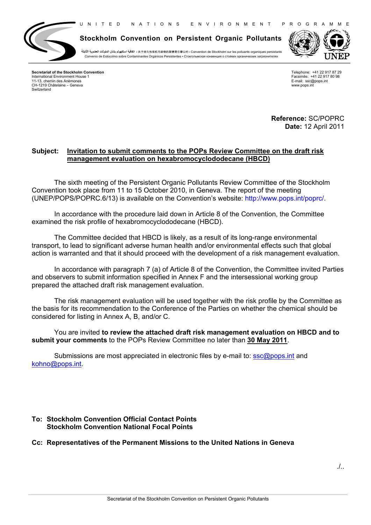U N I T E D N A T I O N S E N V I R O N M E N T P R O G R A M M E



**Stockholm Convention on Persistent Organic Pollutants**

**الثابتة العضوية الملوثات بشأن استكهولم اتفاقية** ▪ 关于持久性有机污染物的斯德哥尔摩公约 ▪ Convention de Stockholm sur les polluants organiques persistants Convenio de Estocolmo sobre Contaminantes Orgánicos Persistentes ▪ Стокгольмскaя конвенция о стойких органических загрязнителях



**Secretariat of the Stockholm Convention** International Environment House 1 11-13, chemin des Anémones CH-1219 Châtelaine – Geneva Switzerland

Telephone: +41 22 917 87 29 Facsimile: +41 22 917 80 98 E-mail: ssc@pops.int www.pops.int

**Reference:** SC/POPRC **Date:** 12 April 2011

## **Subject: Invitation to submit comments to the POPs Review Committee on the draft risk management evaluation on hexabromocyclododecane (HBCD)**

The sixth meeting of the Persistent Organic Pollutants Review Committee of the Stockholm Convention took place from 11 to 15 October 2010, in Geneva. The report of the meeting (UNEP/POPS/POPRC.6/13) is available on the Convention's website: http://www.pops.int/poprc/.

In accordance with the procedure laid down in Article 8 of the Convention, the Committee examined the risk profile of hexabromocyclododecane (HBCD).

The Committee decided that HBCD is likely, as a result of its long-range environmental transport, to lead to significant adverse human health and/or environmental effects such that global action is warranted and that it should proceed with the development of a risk management evaluation.

In accordance with paragraph 7 (a) of Article 8 of the Convention, the Committee invited Parties and observers to submit information specified in Annex F and the intersessional working group prepared the attached draft risk management evaluation.

The risk management evaluation will be used together with the risk profile by the Committee as the basis for its recommendation to the Conference of the Parties on whether the chemical should be considered for listing in Annex A, B, and/or C.

You are invited **to review the attached draft risk management evaluation on HBCD and to submit your comments** to the POPs Review Committee no later than **30 May 2011**.

Submissions are most appreciated in electronic files by e-mail to: ssc@pops.int and kohno@pops.int.

## **To: Stockholm Convention Official Contact Points Stockholm Convention National Focal Points**

## **Cc: Representatives of the Permanent Missions to the United Nations in Geneva**